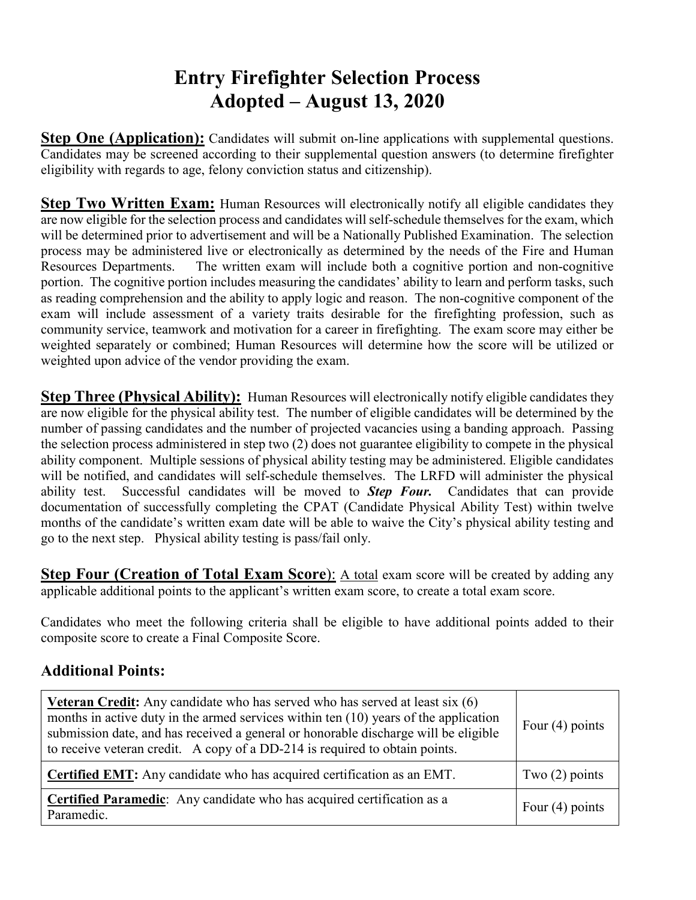## **Entry Firefighter Selection Process Adopted – August 13, 2020**

**Step One (Application):** Candidates will submit on-line applications with supplemental questions. Candidates may be screened according to their supplemental question answers (to determine firefighter eligibility with regards to age, felony conviction status and citizenship).

**Step Two Written Exam:** Human Resources will electronically notify all eligible candidates they are now eligible for the selection process and candidates will self-schedule themselves for the exam, which will be determined prior to advertisement and will be a Nationally Published Examination. The selection process may be administered live or electronically as determined by the needs of the Fire and Human Resources Departments. The written exam will include both a cognitive portion and non-cognitive portion. The cognitive portion includes measuring the candidates' ability to learn and perform tasks, such as reading comprehension and the ability to apply logic and reason. The non-cognitive component of the exam will include assessment of a variety traits desirable for the firefighting profession, such as community service, teamwork and motivation for a career in firefighting. The exam score may either be weighted separately or combined; Human Resources will determine how the score will be utilized or weighted upon advice of the vendor providing the exam.

**Step Three (Physical Ability):** Human Resources will electronically notify eligible candidates they are now eligible for the physical ability test. The number of eligible candidates will be determined by the number of passing candidates and the number of projected vacancies using a banding approach. Passing the selection process administered in step two (2) does not guarantee eligibility to compete in the physical ability component. Multiple sessions of physical ability testing may be administered. Eligible candidates will be notified, and candidates will self-schedule themselves. The LRFD will administer the physical ability test. Successful candidates will be moved to *Step Four.* Candidates that can provide documentation of successfully completing the CPAT (Candidate Physical Ability Test) within twelve months of the candidate's written exam date will be able to waive the City's physical ability testing and go to the next step. Physical ability testing is pass/fail only.

**Step Four (Creation of Total Exam Score):** A total exam score will be created by adding any applicable additional points to the applicant's written exam score, to create a total exam score.

Candidates who meet the following criteria shall be eligible to have additional points added to their composite score to create a Final Composite Score.

## **Additional Points:**

| <b>Veteran Credit:</b> Any candidate who has served who has served at least six $(6)$<br>months in active duty in the armed services within ten (10) years of the application<br>submission date, and has received a general or honorable discharge will be eligible<br>to receive veteran credit. A copy of a DD-214 is required to obtain points. | Four $(4)$ points |
|-----------------------------------------------------------------------------------------------------------------------------------------------------------------------------------------------------------------------------------------------------------------------------------------------------------------------------------------------------|-------------------|
| <b>Certified EMT:</b> Any candidate who has acquired certification as an EMT.                                                                                                                                                                                                                                                                       | Two $(2)$ points  |
| <b>Certified Paramedic:</b> Any candidate who has acquired certification as a<br>Paramedic.                                                                                                                                                                                                                                                         | Four $(4)$ points |